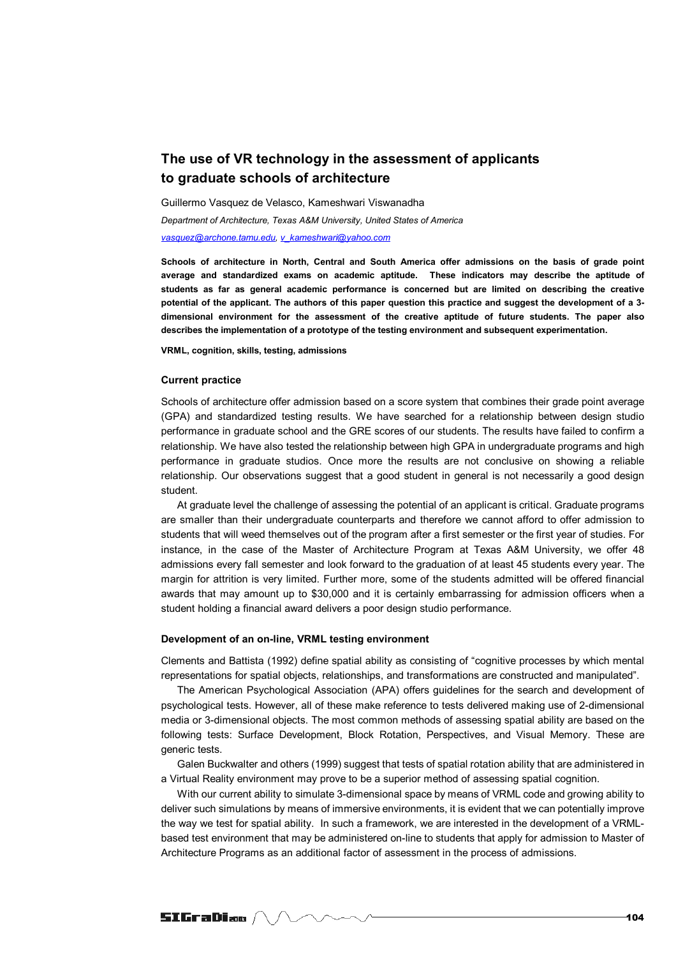# **The use of VR technology in the assessment of applicants to graduate schools of architecture**

Guillermo Vasquez de Velasco, Kameshwari Viswanadha *Department of Architecture, Texas A&M University, United States of America vasquez@archone.tamu.edu, v\_kameshwari@yahoo.com*

**Schools of architecture in North, Central and South America offer admissions on the basis of grade point average and standardized exams on academic aptitude. These indicators may describe the aptitude of students as far as general academic performance is concerned but are limited on describing the creative potential of the applicant. The authors of this paper question this practice and suggest the development of a 3 dimensional environment for the assessment of the creative aptitude of future students. The paper also describes the implementation of a prototype of the testing environment and subsequent experimentation.** 

**VRML, cognition, skills, testing, admissions**

### **Current practice**

Schools of architecture offer admission based on a score system that combines their grade point average (GPA) and standardized testing results. We have searched for a relationship between design studio performance in graduate school and the GRE scores of our students. The results have failed to confirm a relationship. We have also tested the relationship between high GPA in undergraduate programs and high performance in graduate studios. Once more the results are not conclusive on showing a reliable relationship. Our observations suggest that a good student in general is not necessarily a good design student.

At graduate level the challenge of assessing the potential of an applicant is critical. Graduate programs are smaller than their undergraduate counterparts and therefore we cannot afford to offer admission to students that will weed themselves out of the program after a first semester or the first year of studies. For instance, in the case of the Master of Architecture Program at Texas A&M University, we offer 48 admissions every fall semester and look forward to the graduation of at least 45 students every year. The margin for attrition is very limited. Further more, some of the students admitted will be offered financial awards that may amount up to \$30,000 and it is certainly embarrassing for admission officers when a student holding a financial award delivers a poor design studio performance.

## **Development of an on-line, VRML testing environment**

Clements and Battista (1992) define spatial ability as consisting of "cognitive processes by which mental representations for spatial objects, relationships, and transformations are constructed and manipulated".

The American Psychological Association (APA) offers guidelines for the search and development of psychological tests. However, all of these make reference to tests delivered making use of 2-dimensional media or 3-dimensional objects. The most common methods of assessing spatial ability are based on the following tests: Surface Development, Block Rotation, Perspectives, and Visual Memory. These are generic tests.

Galen Buckwalter and others (1999) suggest that tests of spatial rotation ability that are administered in a Virtual Reality environment may prove to be a superior method of assessing spatial cognition.

With our current ability to simulate 3-dimensional space by means of VRML code and growing ability to deliver such simulations by means of immersive environments, it is evident that we can potentially improve the way we test for spatial ability. In such a framework, we are interested in the development of a VRMLbased test environment that may be administered on-line to students that apply for admission to Master of Architecture Programs as an additional factor of assessment in the process of admissions.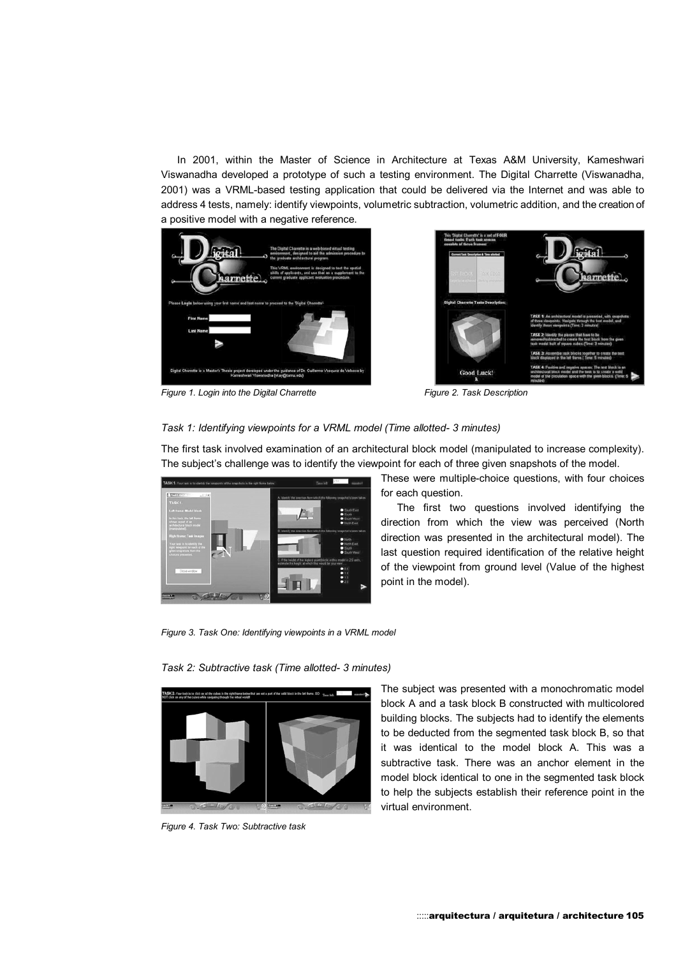In 2001, within the Master of Science in Architecture at Texas A&M University, Kameshwari Viswanadha developed a prototype of such a testing environment. The Digital Charrette (Viswanadha, 2001) was a VRML-based testing application that could be delivered via the Internet and was able to address 4 tests, namely: identify viewpoints, volumetric subtraction, volumetric addition, and the creation of a positive model with a negative reference.



Figure 1. Login into the Digital Charrette **Figure 2. Task Description** 

## *Task 1: Identifying viewpoints for a VRML model (Time allotted- 3 minutes)*

The first task involved examination of an architectural block model (manipulated to increase complexity). The subject's challenge was to identify the viewpoint for each of three given snapshots of the model.



These were multiple-choice questions, with four choices for each question.

The first two questions involved identifying the direction from which the view was perceived (North direction was presented in the architectural model). The last question required identification of the relative height of the viewpoint from ground level (Value of the highest point in the model).

*Figure 3. Task One: Identifying viewpoints in a VRML model* 

*Task 2: Subtractive task (Time allotted- 3 minutes)* 



*Figure 4. Task Two: Subtractive task* 

The subject was presented with a monochromatic model block A and a task block B constructed with multicolored building blocks. The subjects had to identify the elements to be deducted from the segmented task block B, so that it was identical to the model block A. This was a subtractive task. There was an anchor element in the model block identical to one in the segmented task block to help the subjects establish their reference point in the virtual environment.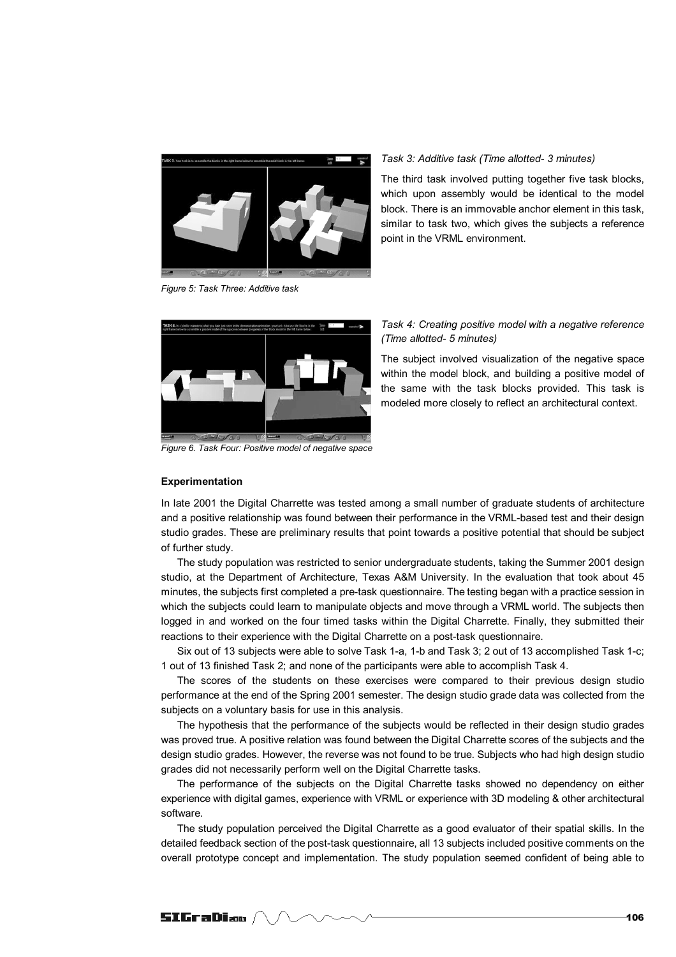

*Figure 5: Task Three: Additive task*

*Figure 6. Task Four: Positive model of negative space* 

# *Task 3: Additive task (Time allotted- 3 minutes)*

The third task involved putting together five task blocks, which upon assembly would be identical to the model block. There is an immovable anchor element in this task, similar to task two, which gives the subjects a reference point in the VRML environment.

## *Task 4: Creating positive model with a negative reference (Time allotted- 5 minutes)*

The subject involved visualization of the negative space within the model block, and building a positive model of the same with the task blocks provided. This task is modeled more closely to reflect an architectural context.

## **Experimentation**

In late 2001 the Digital Charrette was tested among a small number of graduate students of architecture and a positive relationship was found between their performance in the VRML-based test and their design studio grades. These are preliminary results that point towards a positive potential that should be subject of further study.

The study population was restricted to senior undergraduate students, taking the Summer 2001 design studio, at the Department of Architecture, Texas A&M University. In the evaluation that took about 45 minutes, the subjects first completed a pre-task questionnaire. The testing began with a practice session in which the subjects could learn to manipulate objects and move through a VRML world. The subjects then logged in and worked on the four timed tasks within the Digital Charrette. Finally, they submitted their reactions to their experience with the Digital Charrette on a post-task questionnaire.

Six out of 13 subjects were able to solve Task 1-a, 1-b and Task 3; 2 out of 13 accomplished Task 1-c; 1 out of 13 finished Task 2; and none of the participants were able to accomplish Task 4.

The scores of the students on these exercises were compared to their previous design studio performance at the end of the Spring 2001 semester. The design studio grade data was collected from the subjects on a voluntary basis for use in this analysis.

The hypothesis that the performance of the subjects would be reflected in their design studio grades was proved true. A positive relation was found between the Digital Charrette scores of the subjects and the design studio grades. However, the reverse was not found to be true. Subjects who had high design studio grades did not necessarily perform well on the Digital Charrette tasks.

The performance of the subjects on the Digital Charrette tasks showed no dependency on either experience with digital games, experience with VRML or experience with 3D modeling & other architectural software.

The study population perceived the Digital Charrette as a good evaluator of their spatial skills. In the detailed feedback section of the post-task questionnaire, all 13 subjects included positive comments on the overall prototype concept and implementation. The study population seemed confident of being able to